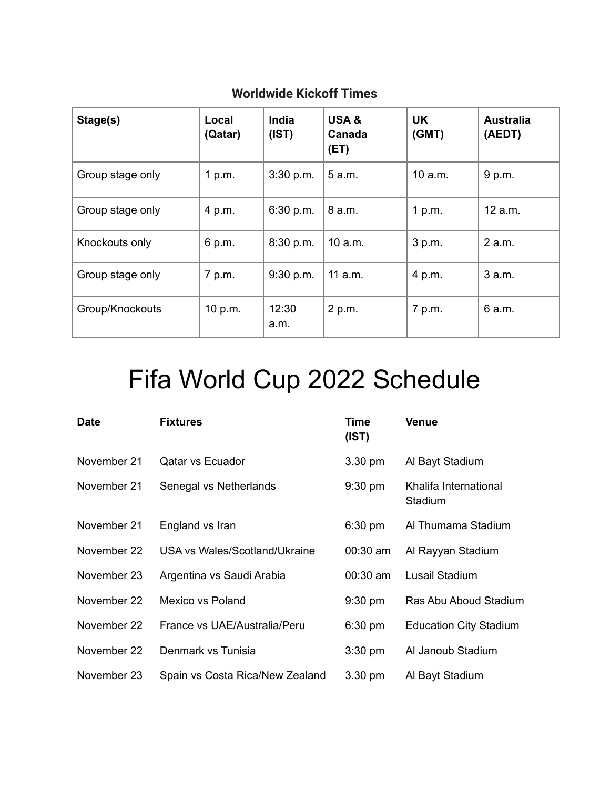| Stage(s)         | Local<br>(Qatar) | India<br>(IST) | USA&<br>Canada<br>(ET) | <b>UK</b><br>(GMT) | <b>Australia</b><br>(AEDT) |
|------------------|------------------|----------------|------------------------|--------------------|----------------------------|
| Group stage only | 1 p.m.           | 3:30 p.m.      | 5 a.m.                 | 10 a.m.            | 9 p.m.                     |
| Group stage only | 4 p.m.           | 6:30 p.m.      | 8 a.m.                 | 1 p.m.             | 12 a.m.                    |
| Knockouts only   | 6 p.m.           | 8:30 p.m.      | 10 a.m.                | 3 p.m.             | 2 a.m.                     |
| Group stage only | 7 p.m.           | 9:30 p.m.      | 11 a.m.                | 4 p.m.             | 3 a.m.                     |
| Group/Knockouts  | 10 p.m.          | 12:30<br>a.m.  | 2 p.m.                 | 7 p.m.             | 6 a.m.                     |

## **Worldwide Kickoff Times**

## Fifa World Cup 2022 Schedule

| <b>Date</b> | <b>Fixtures</b>                 | Time<br>(IST)     | <b>Venue</b>                     |
|-------------|---------------------------------|-------------------|----------------------------------|
| November 21 | <b>Qatar vs Ecuador</b>         | 3.30 pm           | Al Bayt Stadium                  |
| November 21 | Senegal vs Netherlands          | $9:30 \text{ pm}$ | Khalifa International<br>Stadium |
| November 21 | England vs Iran                 | $6:30$ pm         | Al Thumama Stadium               |
| November 22 | USA vs Wales/Scotland/Ukraine   | $00:30$ am        | Al Rayyan Stadium                |
| November 23 | Argentina vs Saudi Arabia       | $00:30$ am        | Lusail Stadium                   |
| November 22 | Mexico vs Poland                | $9:30$ pm         | Ras Abu Aboud Stadium            |
| November 22 | France vs UAE/Australia/Peru    | $6:30$ pm         | <b>Education City Stadium</b>    |
| November 22 | Denmark vs Tunisia              | $3:30$ pm         | Al Janoub Stadium                |
| November 23 | Spain vs Costa Rica/New Zealand | $3.30 \text{ pm}$ | Al Bayt Stadium                  |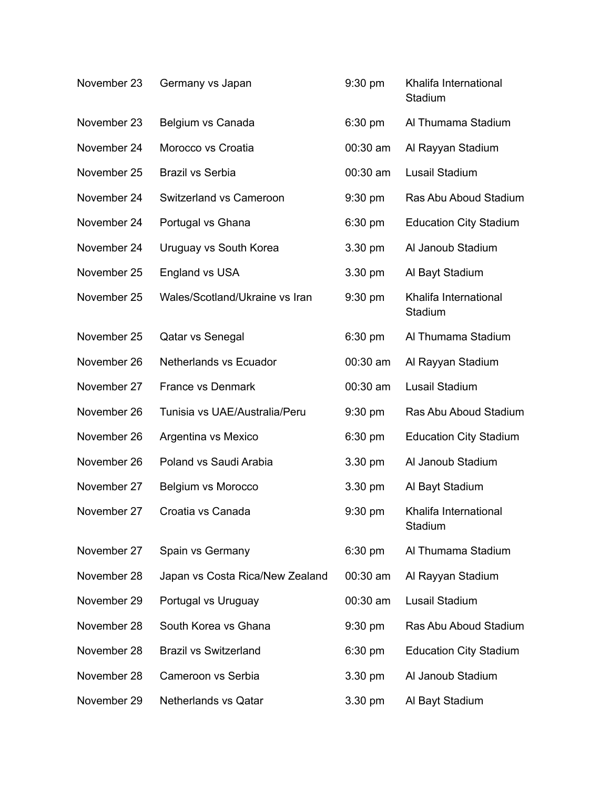| November 23 | Germany vs Japan                | 9:30 pm   | Khalifa International<br>Stadium |
|-------------|---------------------------------|-----------|----------------------------------|
| November 23 | Belgium vs Canada               | $6:30$ pm | Al Thumama Stadium               |
| November 24 | Morocco vs Croatia              | 00:30 am  | Al Rayyan Stadium                |
| November 25 | <b>Brazil vs Serbia</b>         | 00:30 am  | Lusail Stadium                   |
| November 24 | Switzerland vs Cameroon         | $9:30$ pm | Ras Abu Aboud Stadium            |
| November 24 | Portugal vs Ghana               | 6:30 pm   | <b>Education City Stadium</b>    |
| November 24 | Uruguay vs South Korea          | 3.30 pm   | Al Janoub Stadium                |
| November 25 | England vs USA                  | 3.30 pm   | Al Bayt Stadium                  |
| November 25 | Wales/Scotland/Ukraine vs Iran  | $9:30$ pm | Khalifa International<br>Stadium |
| November 25 | Qatar vs Senegal                | 6:30 pm   | Al Thumama Stadium               |
| November 26 | Netherlands vs Ecuador          | 00:30 am  | Al Rayyan Stadium                |
| November 27 | France vs Denmark               | 00:30 am  | Lusail Stadium                   |
| November 26 | Tunisia vs UAE/Australia/Peru   | $9:30$ pm | Ras Abu Aboud Stadium            |
| November 26 | Argentina vs Mexico             | $6:30$ pm | <b>Education City Stadium</b>    |
| November 26 | Poland vs Saudi Arabia          | 3.30 pm   | Al Janoub Stadium                |
| November 27 | Belgium vs Morocco              | 3.30 pm   | Al Bayt Stadium                  |
| November 27 | Croatia vs Canada               | $9:30$ pm | Khalifa International<br>Stadium |
| November 27 | Spain vs Germany                | 6:30 pm   | Al Thumama Stadium               |
| November 28 | Japan vs Costa Rica/New Zealand | 00:30 am  | Al Rayyan Stadium                |
| November 29 | Portugal vs Uruguay             | 00:30 am  | Lusail Stadium                   |
| November 28 | South Korea vs Ghana            | 9:30 pm   | Ras Abu Aboud Stadium            |
| November 28 | <b>Brazil vs Switzerland</b>    | $6:30$ pm | <b>Education City Stadium</b>    |
| November 28 | Cameroon vs Serbia              | 3.30 pm   | Al Janoub Stadium                |
| November 29 | <b>Netherlands vs Qatar</b>     | 3.30 pm   | Al Bayt Stadium                  |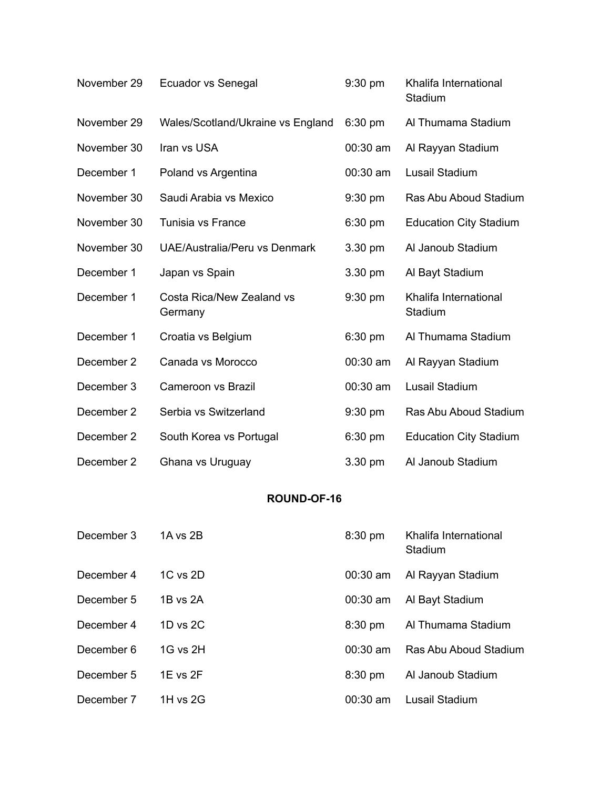| November 29 | Ecuador vs Senegal                   | 9:30 pm    | Khalifa International<br>Stadium |
|-------------|--------------------------------------|------------|----------------------------------|
| November 29 | Wales/Scotland/Ukraine vs England    | $6:30$ pm  | Al Thumama Stadium               |
| November 30 | Iran vs USA                          | 00:30 am   | Al Rayyan Stadium                |
| December 1  | Poland vs Argentina                  | 00:30 am   | <b>Lusail Stadium</b>            |
| November 30 | Saudi Arabia vs Mexico               | $9:30$ pm  | Ras Abu Aboud Stadium            |
| November 30 | Tunisia vs France                    | 6:30 pm    | <b>Education City Stadium</b>    |
| November 30 | UAE/Australia/Peru vs Denmark        | 3.30 pm    | Al Janoub Stadium                |
| December 1  | Japan vs Spain                       | 3.30 pm    | Al Bayt Stadium                  |
| December 1  | Costa Rica/New Zealand vs<br>Germany | $9:30$ pm  | Khalifa International<br>Stadium |
| December 1  | Croatia vs Belgium                   | $6:30$ pm  | Al Thumama Stadium               |
| December 2  | Canada vs Morocco                    | 00:30 am   | Al Rayyan Stadium                |
| December 3  | Cameroon vs Brazil                   | $00:30$ am | Lusail Stadium                   |
| December 2  | Serbia vs Switzerland                | $9:30$ pm  | Ras Abu Aboud Stadium            |
| December 2  | South Korea vs Portugal              | $6:30$ pm  | <b>Education City Stadium</b>    |
| December 2  | Ghana vs Uruguay                     | 3.30 pm    | Al Janoub Stadium                |

## **ROUND-OF-16**

| December 3 | 1A vs 2B     | 8:30 pm           | Khalifa International<br>Stadium |
|------------|--------------|-------------------|----------------------------------|
| December 4 | $1C$ vs $2D$ | $00:30$ am        | Al Rayyan Stadium                |
| December 5 | $1B$ vs $2A$ | $00:30$ am        | Al Bayt Stadium                  |
| December 4 | $1D$ vs $2C$ | $8:30 \text{ pm}$ | Al Thumama Stadium               |
| December 6 | 1G vs 2H     | $00:30$ am        | Ras Abu Aboud Stadium            |
| December 5 | 1E vs 2F     | $8:30$ pm         | Al Janoub Stadium                |
| December 7 | 1H vs $2G$   | $00:30$ am        | Lusail Stadium                   |